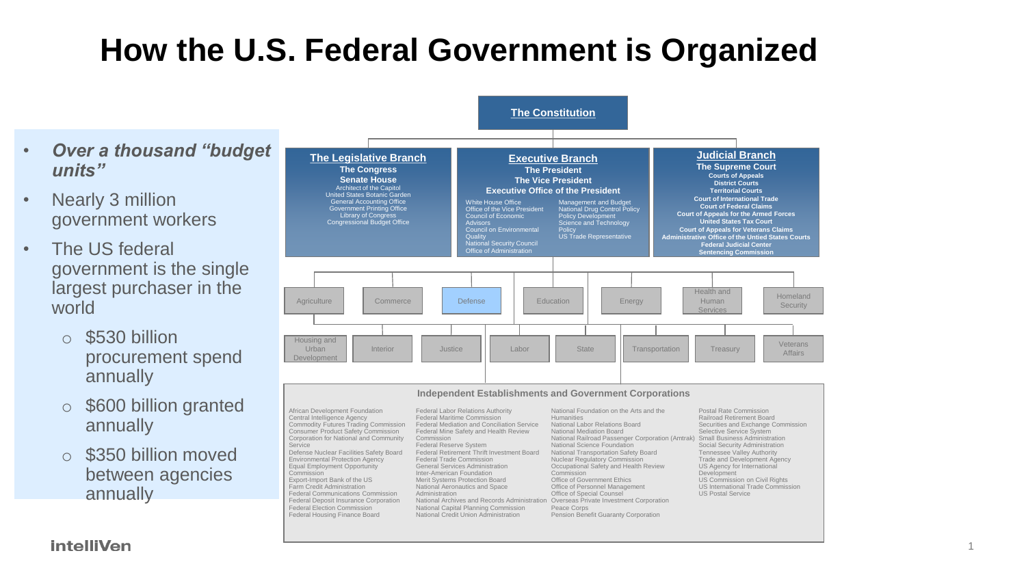## **How the U.S. Federal Government is Organized**

- *Over a thousand "budget units"*
- Nearly 3 million government workers
- The US federal government is the single largest purchaser in the world
	- o \$530 billion procurement spend annually
	- o \$600 billion granted annually
	- o \$350 billion moved between agencies annually



**intelliVen**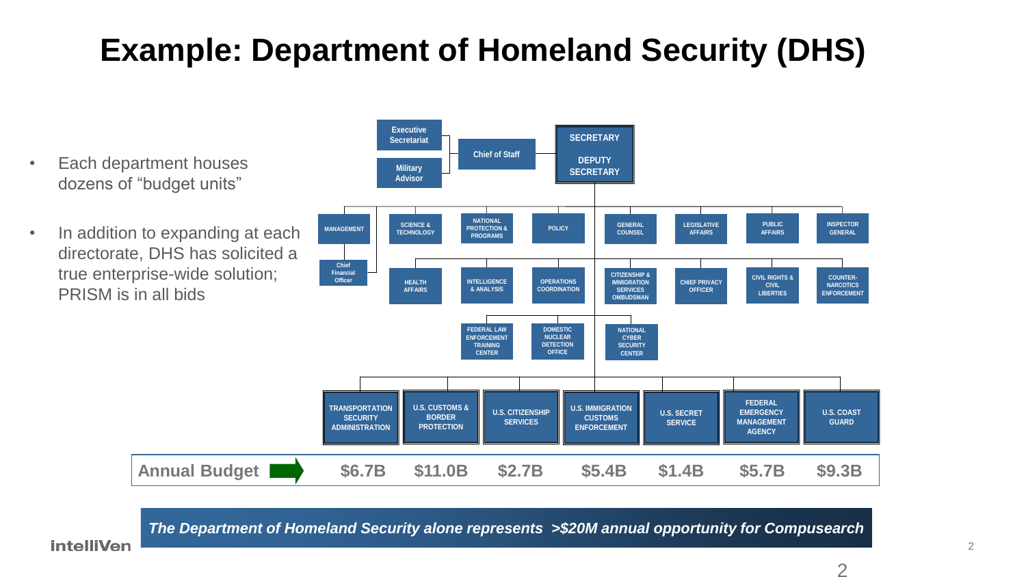## **Example: Department of Homeland Security (DHS)**

- Each department houses dozens of "budget units"
- In addition to expanding at each directorate, DHS has solicited a true enterprise-wide solution; PRISM is in all bids



*The Department of Homeland Security alone represents >\$20M annual opportunity for Compusearch*

**intelliVen**